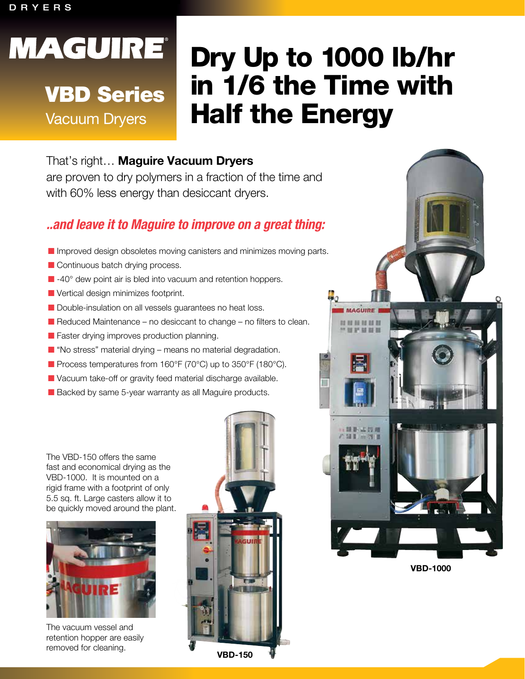#### DRYERS

# **MAGUIRE®**

## VBD Series

Vacuum Dryers

## Dry Up to 1000 lb/hr in 1/6 the Time with Half the Energy

## That's right… **Maguire Vacuum Dryers**

are proven to dry polymers in a fraction of the time and with 60% less energy than desiccant dryers.

## *..and leave it to Maguire to improve on a great thing:*

- $\blacksquare$  Improved design obsoletes moving canisters and minimizes moving parts.
- $\blacksquare$  Continuous batch drying process.
- $\blacksquare$  -40 $^\circ$  dew point air is bled into vacuum and retention hoppers.
- $\blacksquare$  Vertical design minimizes footprint.
- Double-insulation on all vessels guarantees no heat loss.
- $\blacksquare$  Reduced Maintenance no desiccant to change no filters to clean.
- $\blacksquare$  Faster drying improves production planning.
- $\blacksquare$  "No stress" material drying means no material degradation.
- Process temperatures from 160°F (70°C) up to 350°F (180°C).
- **N** Vacuum take-off or gravity feed material discharge available.
- Backed by same 5-year warranty as all Maguire products.

The VBD-150 offers the same fast and economical drying as the VBD-1000. It is mounted on a rigid frame with a footprint of only 5.5 sq. ft. Large casters allow it to be quickly moved around the plant.



The vacuum vessel and retention hopper are easily removed for cleaning.





**VBD-1000**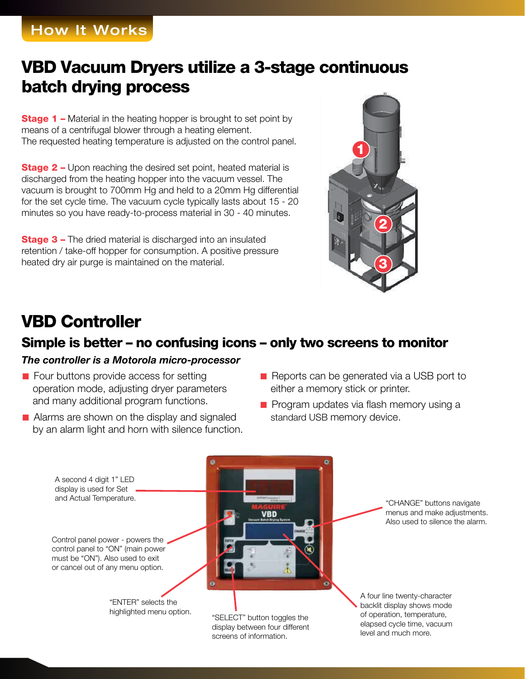## How It Works

## VBD Vacuum Dryers utilize a 3-stage continuous batch drying process

**Stage 1** – Material in the heating hopper is brought to set point by means of a centrifugal blower through a heating element. The requested heating temperature is adjusted on the control panel.

**Stage 2 –** Upon reaching the desired set point, heated material is discharged from the heating hopper into the vacuum vessel. The vacuum is brought to 700mm Hg and held to a 20mm Hg differential for the set cycle time. The vacuum cycle typically lasts about 15 - 20 minutes so you have ready-to-process material in 30 - 40 minutes.

**Stage 3 – The dried material is discharged into an insulated** retention / take-off hopper for consumption. A positive pressure heated dry air purge is maintained on the material.



## VBD Controller

### Simple is better – no confusing icons – only two screens to monitor

#### *The controller is a Motorola micro-processor*

- $\blacksquare$  Four buttons provide access for setting operation mode, adjusting dryer parameters and many additional program functions.
- $\blacksquare$  Alarms are shown on the display and signaled by an alarm light and horn with silence function.
- Reports can be generated via a USB port to either a memory stick or printer.
- $\blacksquare$  Program updates via flash memory using a standard USB memory device.

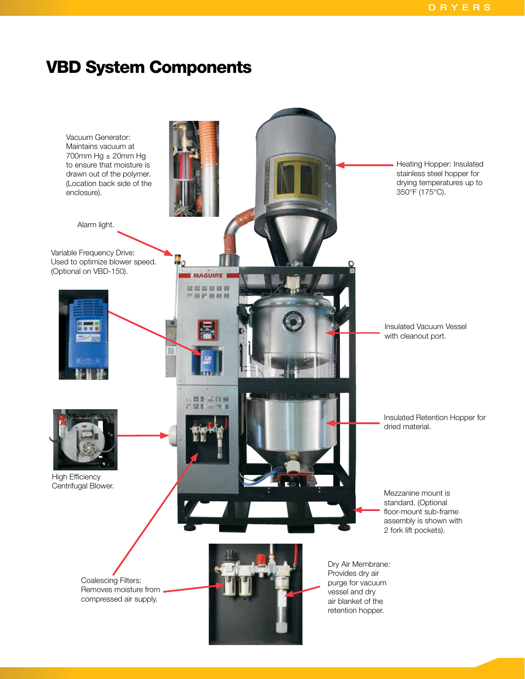## VBD System Components